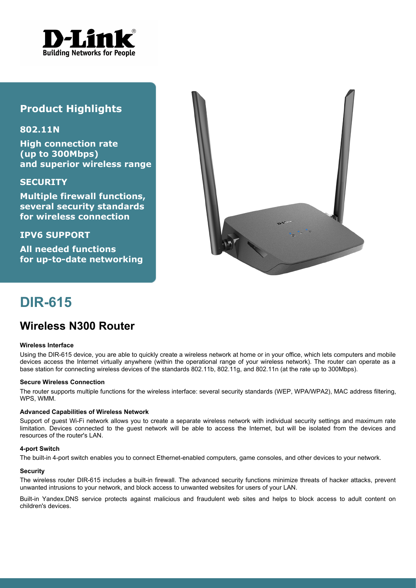

# **Product Highlights**

## **802.11N**

**High connection rate (up to 300Mbps) and superior wireless range**

## **SECURITY**

**Multiple firewall functions, several security standards for wireless connection**

**IPV6 SUPPORT**

**All needed functions for up-to-date networking**



# **DIR-615**

# **Wireless N300 Router**

#### **Wireless Interface**

Using the DIR-615 device, you are able to quickly create a wireless network at home or in your office, which lets computers and mobile devices access the Internet virtually anywhere (within the operational range of your wireless network). The router can operate as a base station for connecting wireless devices of the standards 802.11b, 802.11g, and 802.11n (at the rate up to 300Mbps).

#### **Secure Wireless Connection**

The router supports multiple functions for the wireless interface: several security standards (WEP, WPA/WPA2), MAC address filtering, WPS, WMM.

#### **Advanced Capabilities of Wireless Network**

Support of guest Wi-Fi network allows you to create a separate wireless network with individual security settings and maximum rate limitation. Devices connected to the guest network will be able to access the Internet, but will be isolated from the devices and resources of the router's LAN.

#### **4-port Switch**

The built-in 4-port switch enables you to connect Ethernet-enabled computers, game consoles, and other devices to your network.

#### **Security**

The wireless router DIR-615 includes a built-in firewall. The advanced security functions minimize threats of hacker attacks, prevent unwanted intrusions to your network, and block access to unwanted websites for users of your LAN.

Built-in Yandex.DNS service protects against malicious and fraudulent web sites and helps to block access to adult content on children's devices.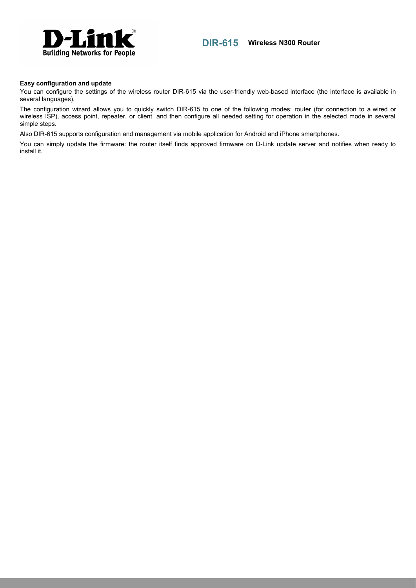

### **DIR-615 Wireless N300 Router**

#### **Easy configuration and update**

You can configure the settings of the wireless router DIR-615 via the user-friendly web-based interface (the interface is available in several languages).

The configuration wizard allows you to quickly switch DIR-615 to one of the following modes: router (for connection to a wired or wireless ISP), access point, repeater, or client, and then configure all needed setting for operation in the selected mode in several simple steps.

Also DIR-615 supports configuration and management via mobile application for Android and iPhone smartphones.

You can simply update the firmware: the router itself finds approved firmware on D-Link update server and notifies when ready to install it.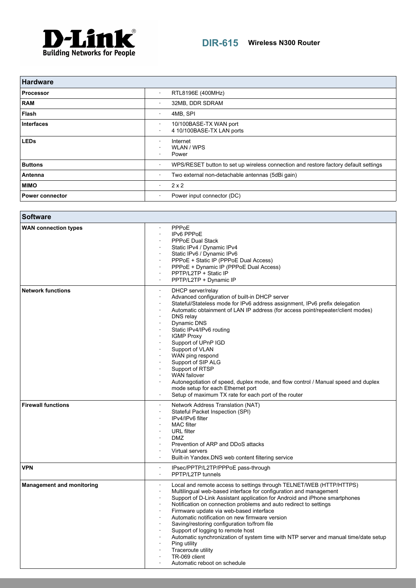

| <b>Hardware</b>        |                                                                                     |
|------------------------|-------------------------------------------------------------------------------------|
| <b>Processor</b>       | RTL8196E (400MHz)<br>$\bullet$                                                      |
| <b>RAM</b>             | 32MB, DDR SDRAM                                                                     |
| Flash                  | 4MB, SPI<br>٠                                                                       |
| <b>Interfaces</b>      | 10/100BASE-TX WAN port<br>4 10/100BASE-TX LAN ports                                 |
| <b>LEDs</b>            | Internet<br>WLAN / WPS<br>Power<br>٠.                                               |
| <b>Buttons</b>         | WPS/RESET button to set up wireless connection and restore factory default settings |
| Antenna                | Two external non-detachable antennas (5dBi gain)<br>٠                               |
| <b>MIMO</b>            | $2 \times 2$<br>٠                                                                   |
| <b>Power connector</b> | Power input connector (DC)<br>٠                                                     |

| <b>Software</b>                  |                                                                                                                                                                                                                                                                                                                                                                                                                                                                                                                                                                                                                                                            |
|----------------------------------|------------------------------------------------------------------------------------------------------------------------------------------------------------------------------------------------------------------------------------------------------------------------------------------------------------------------------------------------------------------------------------------------------------------------------------------------------------------------------------------------------------------------------------------------------------------------------------------------------------------------------------------------------------|
| <b>WAN connection types</b>      | PPPoE<br>IPv6 PPPoE<br>PPPoE Dual Stack<br>Static IPv4 / Dynamic IPv4<br>Static IPv6 / Dynamic IPv6<br>PPPoE + Static IP (PPPoE Dual Access)<br>PPPoE + Dynamic IP (PPPoE Dual Access)<br>PPTP/L2TP + Static IP<br>PPTP/L2TP + Dynamic IP                                                                                                                                                                                                                                                                                                                                                                                                                  |
| <b>Network functions</b>         | DHCP server/relay<br>Advanced configuration of built-in DHCP server<br>Stateful/Stateless mode for IPv6 address assignment, IPv6 prefix delegation<br>Automatic obtainment of LAN IP address (for access point/repeater/client modes)<br>DNS relay<br>Dynamic DNS<br>Static IPv4/IPv6 routing<br><b>IGMP Proxy</b><br>Support of UPnP IGD<br>Support of VLAN<br>WAN ping respond<br>Support of SIP ALG<br>Support of RTSP<br><b>WAN</b> failover<br>Autonegotiation of speed, duplex mode, and flow control / Manual speed and duplex<br>mode setup for each Ethernet port<br>Setup of maximum TX rate for each port of the router                         |
| <b>Firewall functions</b>        | Network Address Translation (NAT)<br>Stateful Packet Inspection (SPI)<br>IPv4/IPv6 filter<br><b>MAC</b> filter<br><b>URL</b> filter<br><b>DMZ</b><br>Prevention of ARP and DDoS attacks<br>Virtual servers<br>Built-in Yandex.DNS web content filtering service                                                                                                                                                                                                                                                                                                                                                                                            |
| <b>VPN</b>                       | IPsec/PPTP/L2TP/PPPoE pass-through<br>PPTP/L2TP tunnels<br>$\cdot$                                                                                                                                                                                                                                                                                                                                                                                                                                                                                                                                                                                         |
| <b>Management and monitoring</b> | Local and remote access to settings through TELNET/WEB (HTTP/HTTPS)<br>Multilingual web-based interface for configuration and management<br>Support of D-Link Assistant application for Android and iPhone smartphones<br>Notification on connection problems and auto redirect to settings<br>Firmware update via web-based interface<br>Automatic notification on new firmware version<br>Saving/restoring configuration to/from file<br>Support of logging to remote host<br>Automatic synchronization of system time with NTP server and manual time/date setup<br>Ping utility<br>Traceroute utility<br>TR-069 client<br>Automatic reboot on schedule |